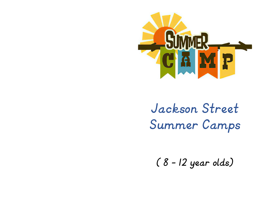

*Jackson Street Summer Camps*

*( 8 – 12 year olds)*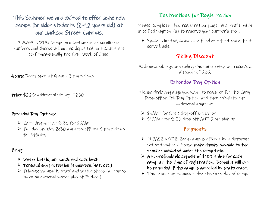## This Summer we are excited to offer some new camps for older students (8-12 years old) at our Jackson Street Campus.

PLEASE NOTE: Camps are contingent on enrollment numbers and checks will not be deposited until camps are confirmed-usually the first week of June.

Hours: Doors open at 9 am - 3 pm pick-up

Price: \$225; additional siblings \$200.

#### Extended Day Options:

- ➢ Early drop-off at 8:30 for \$5/day.
- ➢ Full day includes 8:30 am drop-off and 5 pm pick-up for \$15/day.

#### Bring:

- $\triangleright$  Water bottle, am snack and sack lunch.
- $\triangleright$  Personal sun protection (sunscreen, hat, etc.)
- ➢ Fridays: swimsuit, towel and water shoes (all camps have an optional water play of Fridays)

### Instructions for Registration

Please complete this registration page, and remit with specified payment(s) to reserve your camper's spot.

➢ Space is limited; camps are filled on a first come, first serve basis.

### Sibling Discount

Additional siblings attending the same camp will receive a discount of \$25.

### Extended Day Option

- Please circle any days you want to register for the Early Drop-off or Full Day Option, and then calculate the additional payment.
- ➢ \$5/day for 8:30 drop-off ONLY, or
- ➢ \$15/day for 8:30 drop-off AND 5 pm pick-up.

### Payments

- ➢ PLEASE NOTE: Each camp is offered by a different set of teachers. Please make checks payable to the teacher indicated under the camp title.
- $\triangleright$  A non-refundable deposit of \$100 is due for each camp at the time of registration. Deposits will only be refunded if the camp is cancelled by state order.
- $\triangleright$  The remaining balance is due the first day of camp.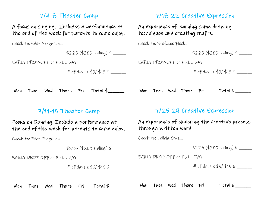## 7/4-8 Theater Camp

A focus on singing. Includes a performance at the end of the week for parents to come enjoy.

Check to: Eden Ferguson…

\$225 (\$200 sibling) \$ \_\_\_\_\_\_

EARLY DROP-OFF or FULL DAY

# of days x \$5/ \$15 \$ \_\_\_\_\_\_\_

# 7/18-22 Creative Expression

An experience of learning some drawing techniques and creating crafts.

Check to: Stefanie Fleck…

 $$225 ($200$ sibling) $ \_$ 

EARLY DROP-OFF or FULL DAY

# of days x \$5/ \$15 \$ \_\_\_\_\_\_\_

Mon Tues Wed Thurs Fri Total \$\_\_\_\_\_\_\_

## 7/11-15 Theater Camp

Focus on Dancing. Include a performance at the end of the week for parents to come enjoy.

Check to: Eden Ferguson…

\$225 (\$200 sibling) \$ \_\_\_\_\_\_

EARLY DROP-OFF or FULL DAY

# of days x \$5/ \$15 \$ \_\_\_\_\_\_\_

## 7/25-29 Creative Expression

Mon Tues wed Thurs Fri  $Total \, \frac{1}{5}$ 

### An experience of exploring the creative process through written word.

Check to: Felicia Cruz…

 $$225 ($200$ sibling) $ \_$ 

EARLY DROP-OFF or FULL DAY

# of days x \$5/ \$15 \$ \_\_\_\_\_\_\_

Mon Tues wed Thurs Fri Total  $\frac{2}{\pi}$ 

Mon Tues Wed Thurs Fri Total \$ \_\_\_\_\_\_\_